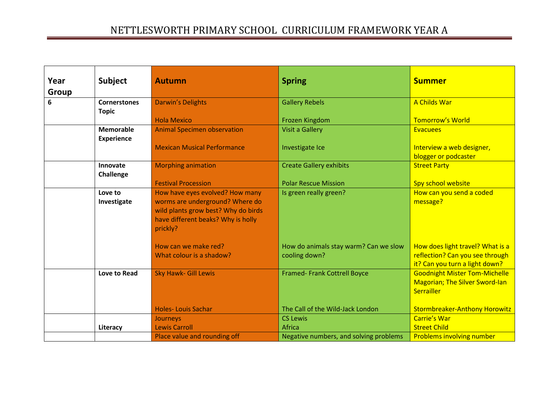| Year         | <b>Subject</b>      | <b>Autumn</b>                       | <b>Spring</b>                          | <b>Summer</b>                                       |
|--------------|---------------------|-------------------------------------|----------------------------------------|-----------------------------------------------------|
| <b>Group</b> |                     |                                     |                                        |                                                     |
| 6            | <b>Cornerstones</b> | <b>Darwin's Delights</b>            | <b>Gallery Rebels</b>                  | A Childs War                                        |
|              | <b>Topic</b>        |                                     |                                        |                                                     |
|              |                     | <b>Hola Mexico</b>                  | Frozen Kingdom                         | <b>Tomorrow's World</b>                             |
|              | <b>Memorable</b>    | <b>Animal Specimen observation</b>  | <b>Visit a Gallery</b>                 | <b>Evacuees</b>                                     |
|              | <b>Experience</b>   |                                     |                                        |                                                     |
|              |                     | <b>Mexican Musical Performance</b>  | Investigate Ice                        | Interview a web designer,                           |
|              |                     |                                     |                                        | blogger or podcaster                                |
|              | Innovate            | <b>Morphing animation</b>           | <b>Create Gallery exhibits</b>         | <b>Street Party</b>                                 |
|              | Challenge           |                                     |                                        |                                                     |
|              |                     | <b>Festival Procession</b>          | <b>Polar Rescue Mission</b>            | Spy school website                                  |
|              | Love to             | How have eyes evolved? How many     | Is green really green?                 | How can you send a coded                            |
|              | Investigate         | worms are underground? Where do     |                                        | message?                                            |
|              |                     | wild plants grow best? Why do birds |                                        |                                                     |
|              |                     | have different beaks? Why is holly  |                                        |                                                     |
|              |                     | prickly?                            |                                        |                                                     |
|              |                     |                                     |                                        |                                                     |
|              |                     | How can we make red?                | How do animals stay warm? Can we slow  | How does light travel? What is a                    |
|              |                     | What colour is a shadow?            | cooling down?                          | reflection? Can you see through                     |
|              |                     |                                     |                                        | it? Can you turn a light down?                      |
|              | Love to Read        | <b>Sky Hawk- Gill Lewis</b>         | <b>Framed-Frank Cottrell Boyce</b>     | <b>Goodnight Mister Tom-Michelle</b>                |
|              |                     |                                     |                                        | <b>Magorian; The Silver Sword-lan</b><br>Serrailler |
|              |                     |                                     |                                        |                                                     |
|              |                     | <b>Holes-Louis Sachar</b>           | The Call of the Wild-Jack London       | <b>Stormbreaker-Anthony Horowitz</b>                |
|              |                     | Journeys                            | <b>CS Lewis</b>                        | <b>Carrie's War</b>                                 |
|              | Literacy            | <b>Lewis Carroll</b>                | Africa                                 | <b>Street Child</b>                                 |
|              |                     | Place value and rounding off        | Negative numbers, and solving problems | <b>Problems involving number</b>                    |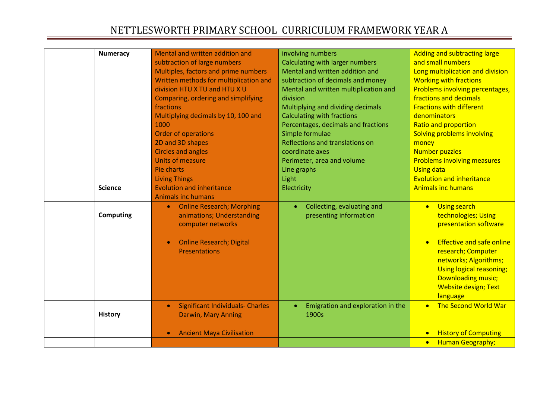| <b>Numeracy</b>  | Mental and written addition and                      | involving numbers                       | <b>Adding and subtracting large</b>      |
|------------------|------------------------------------------------------|-----------------------------------------|------------------------------------------|
|                  | subtraction of large numbers                         | <b>Calculating with larger numbers</b>  | and small numbers                        |
|                  | Multiples, factors and prime numbers                 | Mental and written addition and         | Long multiplication and division         |
|                  | Written methods for multiplication and               | subtraction of decimals and money       | <b>Working with fractions</b>            |
|                  | division HTU X TU and HTU X U                        | Mental and written multiplication and   | Problems involving percentages,          |
|                  | Comparing, ordering and simplifying                  | division                                | fractions and decimals                   |
|                  | fractions                                            | Multiplying and dividing decimals       | <b>Fractions with different</b>          |
|                  | Multiplying decimals by 10, 100 and                  | <b>Calculating with fractions</b>       | denominators                             |
|                  | 1000                                                 | Percentages, decimals and fractions     | <b>Ratio and proportion</b>              |
|                  | <b>Order of operations</b>                           | Simple formulae                         | Solving problems involving               |
|                  | 2D and 3D shapes                                     | Reflections and translations on         | money                                    |
|                  | <b>Circles and angles</b>                            | coordinate axes                         | <b>Number puzzles</b>                    |
|                  | Units of measure                                     | Perimeter, area and volume              | <b>Problems involving measures</b>       |
|                  | Pie charts                                           | Line graphs                             | <b>Using data</b>                        |
|                  | <b>Living Things</b>                                 | Light                                   | <b>Evolution and inheritance</b>         |
| <b>Science</b>   | <b>Evolution and inheritance</b>                     | Electricity                             | <b>Animals inc humans</b>                |
|                  | <b>Animals inc humans</b>                            |                                         |                                          |
|                  | <b>Online Research; Morphing</b><br>$\bullet$        | Collecting, evaluating and<br>$\bullet$ | <b>Using search</b><br>$\bullet$         |
| <b>Computing</b> | animations; Understanding                            | presenting information                  | technologies; Using                      |
|                  | computer networks                                    |                                         | presentation software                    |
|                  |                                                      |                                         |                                          |
|                  | <b>Online Research; Digital</b>                      |                                         | <b>Effective and safe online</b>         |
|                  | <b>Presentations</b>                                 |                                         | research; Computer                       |
|                  |                                                      |                                         | networks; Algorithms;                    |
|                  |                                                      |                                         | Using logical reasoning;                 |
|                  |                                                      |                                         | <b>Downloading music;</b>                |
|                  |                                                      |                                         | <b>Website design; Text</b>              |
|                  |                                                      |                                         | language                                 |
|                  | <b>Significant Individuals- Charles</b><br>$\bullet$ | Emigration and exploration in the       | <b>The Second World War</b><br>$\bullet$ |
| <b>History</b>   | <b>Darwin, Mary Anning</b>                           | 1900s                                   |                                          |
|                  |                                                      |                                         |                                          |
|                  | <b>Ancient Maya Civilisation</b><br>$\bullet$        |                                         | <b>History of Computing</b>              |
|                  |                                                      |                                         | <b>Human Geography;</b><br>$\bullet$     |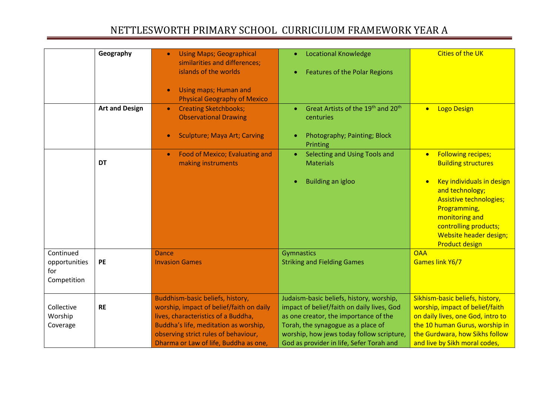|                                                  | Geography             | <b>Using Maps; Geographical</b><br>similarities and differences;<br>islands of the worlds<br>Using maps; Human and<br><b>Physical Geography of Mexico</b>                                                                                     | <b>Locational Knowledge</b><br><b>Features of the Polar Regions</b>                                                                                                                                                                                            | <b>Cities of the UK</b>                                                                                                                                                                                                                                              |
|--------------------------------------------------|-----------------------|-----------------------------------------------------------------------------------------------------------------------------------------------------------------------------------------------------------------------------------------------|----------------------------------------------------------------------------------------------------------------------------------------------------------------------------------------------------------------------------------------------------------------|----------------------------------------------------------------------------------------------------------------------------------------------------------------------------------------------------------------------------------------------------------------------|
|                                                  | <b>Art and Design</b> | <b>Creating Sketchbooks;</b><br>$\bullet$<br><b>Observational Drawing</b><br><b>Sculpture; Maya Art; Carving</b>                                                                                                                              | Great Artists of the 19 <sup>th</sup> and 20 <sup>th</sup><br>$\bullet$<br>centuries<br>Photography; Painting; Block<br>Printing                                                                                                                               | <b>Logo Design</b><br>$\bullet$                                                                                                                                                                                                                                      |
|                                                  | <b>DT</b>             | <b>Food of Mexico; Evaluating and</b><br>making instruments                                                                                                                                                                                   | Selecting and Using Tools and<br>$\bullet$ .<br><b>Materials</b><br><b>Building an igloo</b>                                                                                                                                                                   | <b>Following recipes;</b><br>$\bullet$<br><b>Building structures</b><br>Key individuals in design<br>and technology;<br><b>Assistive technologies;</b><br>Programming,<br>monitoring and<br>controlling products;<br>Website header design;<br><b>Product design</b> |
| Continued<br>opportunities<br>for<br>Competition | PE                    | <b>Dance</b><br><b>Invasion Games</b>                                                                                                                                                                                                         | Gymnastics<br><b>Striking and Fielding Games</b>                                                                                                                                                                                                               | <b>OAA</b><br>Games link Y6/7                                                                                                                                                                                                                                        |
| Collective<br>Worship<br>Coverage                | <b>RE</b>             | Buddhism-basic beliefs, history,<br>worship, impact of belief/faith on daily<br>lives, characteristics of a Buddha,<br>Buddha's life, meditation as worship,<br>observing strict rules of behaviour,<br>Dharma or Law of life, Buddha as one, | Judaism-basic beliefs, history, worship,<br>impact of belief/faith on daily lives, God<br>as one creator, the importance of the<br>Torah, the synagogue as a place of<br>worship, how jews today follow scripture,<br>God as provider in life, Sefer Torah and | Sikhism-basic beliefs, history,<br>worship, impact of belief/faith<br>on daily lives, one God, intro to<br>the 10 human Gurus, worship in<br>the Gurdwara, how Sikhs follow<br>and live by Sikh moral codes,                                                         |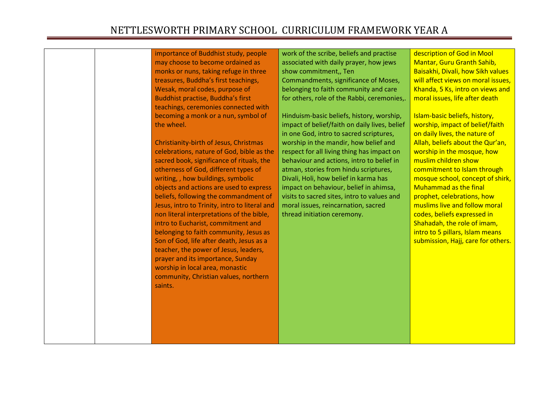